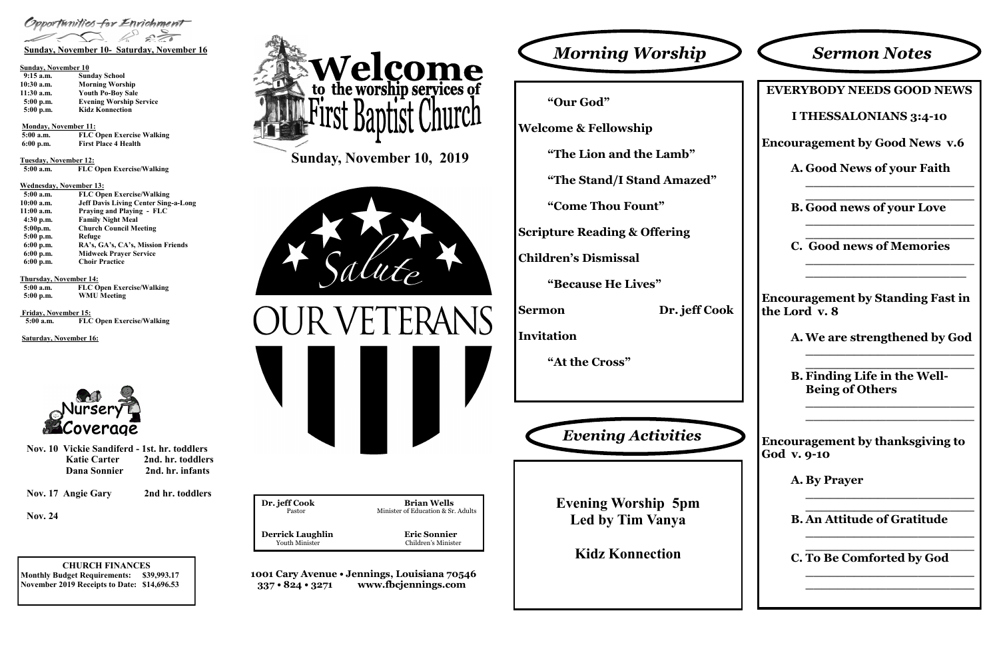**CHURCH FINANCES Monthly Budget Requirements: \$39,993.17 November 2019 Receipts to Date: \$14,696.53**

| Dr. jeff Cook           | <b>Brian Wells</b>                 |
|-------------------------|------------------------------------|
| Pastor                  | Minister of Education & Sr. Adults |
| <b>Derrick Laughlin</b> | <b>Eric Sonnier</b>                |
| <b>Youth Minister</b>   | Children's Minister                |
|                         |                                    |

**1001 Cary Avenue • Jennings, Louisiana 70546 337 • 824 • 3271 www.fbcjennings.com**

**Sunday, November 10, 2019**









### **Sunday, November 10**

| $9:15$ a.m.  | <b>Sunday School</b>           |
|--------------|--------------------------------|
| $10:30$ a.m. | <b>Morning Worship</b>         |
| $11:30$ a.m. | <b>Youth Po-Boy Sale</b>       |
| $5:00$ p.m.  | <b>Evening Worship Service</b> |
| 5:00 p.m.    | <b>Kidz Konnection</b>         |

### **Monday, November 11:**

| 5:00 a.m.   | <b>FLC Open Exercise Walking</b> |
|-------------|----------------------------------|
| $6:00$ p.m. | <b>First Place 4 Health</b>      |

**Tuesday, November 12:**

 **5:00 a.m. FLC Open Exercise/Walking**

### **Wednesday, November 13:**

| $5:00$ a.m. | <b>FLC Open Exercise/Walking</b>            |
|-------------|---------------------------------------------|
| 10:00 a.m.  | <b>Jeff Davis Living Center Sing-a-Long</b> |
| 11:00 a.m.  | <b>Praying and Playing - FLC</b>            |
| $4:30$ p.m. | <b>Family Night Meal</b>                    |
| 5:00p.m.    | <b>Church Council Meeting</b>               |
| $5:00$ p.m. | Refuge                                      |
| $6:00$ p.m. | RA's, GA's, CA's, Mission Friends           |
| $6:00$ p.m. | <b>Midweek Prayer Service</b>               |
| $6:00$ p.m. | <b>Choir Practice</b>                       |

### **Thursday, November 14:**

| $5:00$ a.m. | <b>FLC Open Exercise/Walking</b> |
|-------------|----------------------------------|
| $5:00$ p.m. | <b>WMU Meeting</b>               |

**Friday, November 15: 5:00 a.m. FLC Open Exercise/Walking**

**Saturday, November 16:**



**"Our God"**

**Welcome & Fellowship**

**"The Lion and the Lamb"**

**"The Stand/I Stand Amazed"**

**"Come Thou Fount"**

**Scripture Reading & Offering**

**Children's Dismissal**

**"Because He Lives"**

**Sermon Dr. jeff Cook**

**Invitation**

**"At the Cross"**

**EVERYBODY NEEDS GOOD NEWS I THESSALONIANS 3:4-10 Encouragement by Good News v.6 A. Good News of your Faith \_\_\_\_\_\_\_\_\_\_\_\_\_\_\_\_\_\_\_\_\_ \_\_\_\_\_\_\_\_\_\_\_\_\_\_\_\_\_\_\_\_\_ B. Good news of your Love \_\_\_\_\_\_\_\_\_\_\_\_\_\_\_\_\_\_\_\_\_ \_\_\_\_\_\_\_\_\_\_\_\_\_\_\_\_\_\_\_\_\_ C. Good news of Memories \_\_\_\_\_\_\_\_\_\_\_\_\_\_\_\_\_\_\_\_\_ \_\_\_\_\_\_\_\_\_\_\_\_\_\_\_\_\_\_\_\_ Encouragement by Standing Fast in the Lord** v.  $8$ **A. We are strengthened by God \_\_\_\_\_\_\_\_\_\_\_\_\_\_\_\_\_\_\_\_\_ \_\_\_\_\_\_\_\_\_\_\_\_\_\_\_\_\_\_\_\_\_ B. Finding Life in the Well-Being of Others \_\_\_\_\_\_\_\_\_\_\_\_\_\_\_\_\_\_\_\_\_ \_\_\_\_\_\_\_\_\_\_\_\_\_\_\_\_\_\_\_\_\_ Encouragement by thanksgiving to God v. 9-10 A. By Prayer \_\_\_\_\_\_\_\_\_\_\_\_\_\_\_\_\_\_\_\_\_ \_\_\_\_\_\_\_\_\_\_\_\_\_\_\_\_\_\_\_\_\_ B. An Attitude of Gratitude \_\_\_\_\_\_\_\_\_\_\_\_\_\_\_\_\_\_\_\_\_ \_\_\_\_\_\_\_\_\_\_\_\_\_\_\_\_\_\_\_\_\_ C. To Be Comforted by God \_\_\_\_\_\_\_\_\_\_\_\_\_\_\_\_\_\_\_\_\_ \_\_\_\_\_\_\_\_\_\_\_\_\_\_\_\_\_\_\_\_\_**

| <b>Sermon Notes</b> |  |
|---------------------|--|
|---------------------|--|

**Evening Worship 5pm Led by Tim Vanya**

**Kidz Konnection**



|                     | Nov. 10 Vickie Sandiferd - 1st. hr. toddlers |  |
|---------------------|----------------------------------------------|--|
| <b>Katie Carter</b> | 2nd. hr. toddlers                            |  |
| <b>Dana Sonnier</b> | 2nd. hr. infants                             |  |

**Nov. 17 Angie Gary 2nd hr. toddlers**

**Nov. 24**